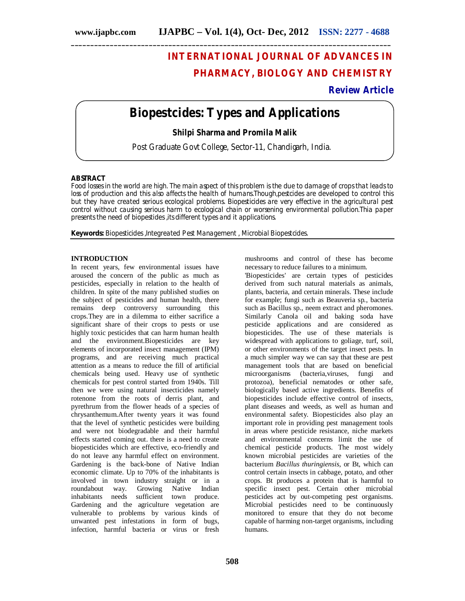# **INTERNATIONAL JOURNAL OF ADVANCES IN PHARMACY, BIOLOGY AND CHEMISTRY**

## **Review Article**

## **Biopestcides: Types and Applications**

**\_\_\_\_\_\_\_\_\_\_\_\_\_\_\_\_\_\_\_\_\_\_\_\_\_\_\_\_\_\_\_\_\_\_\_\_\_\_\_\_\_\_\_\_\_\_\_\_\_\_\_\_\_\_\_\_\_\_\_\_\_\_\_\_\_\_\_\_\_\_\_\_\_\_\_\_\_\_\_\_\_\_**

## **Shilpi Sharma and Promila Malik**

Post Graduate Govt College, Sector-11, Chandigarh, India.

#### **ABSTRACT**

Food losses in the world are high. The main aspect of this problem is the due to damage of crops that leads to loss of production and this also affects the health of humans.Though,pestcides are developed to control this but they have created serious ecological problems. Biopesticides are very effective in the agricultural pest control without causing serious harm to ecological chain or worsening environmental pollution.Thia paper presents the need of biopestides ,its different types and it applications.

**Keywords:** Biopesticides ,Integreated Pest Management , Microbial Biopestcides.

#### **INTRODUCTION**

In recent years, few environmental issues have aroused the concern of the public as much as pesticides, especially in relation to the health of children. In spite of the many published studies on the subject of pesticides and human health, there remains deep controversy surrounding this crops.They are in a dilemma to either sacrifice a significant share of their crops to pests or use highly toxic pesticides that can harm human health and the environment.Biopesticides are key elements of incorporated insect management (IPM) programs, and are receiving much practical attention as a means to reduce the fill of artificial chemicals being used. Heavy use of synthetic chemicals for pest control started from 1940s. Till then we were using natural insecticides namely rotenone from the roots of derris plant, and pyrethrum from the flower heads of a species of chrysanthemum.After twenty years it was found that the level of synthetic pesticides were building and were not biodegradable and their harmful effects started coming out. there is a need to create biopesticides which are effective, eco-friendly and do not leave any harmful effect on environment. Gardening is the back-bone of Native Indian economic climate. Up to 70% of the inhabitants is involved in town industry straight or in a roundabout way. Growing Native Indian roundabout way. Growing Native Indian inhabitants needs sufficient town produce. sufficient town produce. Gardening and the agriculture vegetation are vulnerable to problems by various kinds of unwanted pest infestations in form of bugs, infection, harmful bacteria or virus or fresh

mushrooms and control of these has become necessary to reduce failures to a minimum.

'Biopesticides' are certain types of pesticides derived from such natural materials as animals, plants, bacteria, and certain minerals. These include for example; fungi such as Beauveria sp., bacteria such as Bacillus sp., neem extract and pheromones. Similarly Canola oil and baking soda have pesticide applications and are considered as biopesticides. The use of these materials is widespread with applications to goliage, turf, soil, or other environments of the target insect pests. In a much simpler way we can say that these are pest management tools that are based on beneficial microorganisms (bacteria,viruses, fungi and protozoa), beneficial nematodes or other safe, biologically based active ingredients. Benefits of biopesticides include effective control of insects, plant diseases and weeds, as well as human and environmental safety. Biopesticides also play an important role in providing pest management tools in areas where pesticide resistance, niche markets and environmental concerns limit the use of chemical pesticide products. The most widely known microbial pesticides are varieties of the bacterium *Bacillus thuringiensis*, or Bt, which can control certain insects in cabbage, potato, and other crops. Bt produces a protein that is harmful to specific insect pest. Certain other microbial pesticides act by out-competing pest organisms. Microbial pesticides need to be continuously monitored to ensure that they do not become capable of harming non-target organisms, including humans.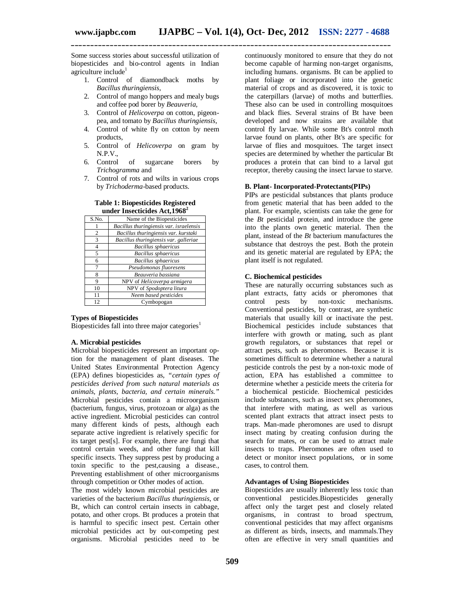Some success stories about successful utilization of biopesticides and bio-control agents in Indian agriculture include<sup>1</sup>

- 1. Control of diamondback moths by *Bacillus thuringiensis,*
- 2. Control of mango hoppers and mealy bugs and coffee pod borer by *Beauveria,*
- 3. Control of *Helicoverpa* on cotton, pigeonpea, and tomato by *Bacillus thuringiensis,*
- 4. Control of white fly on cotton by neem products,
- 5. Control of *Helicoverpa* on gram by N.P.V.,
- 6. Control of sugarcane borers by *Trichogramma* and
- 7. Control of rots and wilts in various crops by *Trichoderma*-based products.

**Table 1: Biopesticides Registered under Insecticides Act,1968<sup>2</sup>**

| <b>AUI INNUCERCIU IICHI</b> ) 00 |                                         |  |
|----------------------------------|-----------------------------------------|--|
| S.No.                            | Name of the Biopesticides               |  |
|                                  | Bacillus thuringiensis var. israelensis |  |
| 2                                | Bacillus thuringiensis var. kurstaki    |  |
| 3                                | Bacillus thuringiensis var. galleriae   |  |
| 4                                | <b>Bacillus</b> sphaericus              |  |
| 5                                | <b>Bacillus</b> sphaericus              |  |
| 6                                | <b>Bacillus</b> sphaericus              |  |
|                                  | Pseudomonas fluoresens                  |  |
| 8                                | Beauveria bassiana                      |  |
| 9                                | NPV of Helicoverpa armigera             |  |
| 10                               | NPV of Spodoptera litura                |  |
| 11                               | Neem based pesticides                   |  |
| 12                               | Cymbopogan                              |  |

#### **Types of Biopesticides**

Biopesticides fall into three major categories<sup>1</sup>

#### **A. Microbial pesticides**

Microbial biopesticides represent an important option for the management of plant diseases. The United States Environmental Protection Agency (EPA) defines biopesticides as, *"certain types of pesticides derived from such natural materials as animals, plants, bacteria, and certain minerals."*  Microbial pesticides contain a microorganism (bacterium, fungus, virus, protozoan or alga) as the active ingredient. Microbial pesticides can control many different kinds of pests, although each separate active ingredient is relatively specific for its target pest[s]. For example, there are fungi that control certain weeds, and other fungi that kill specific insects. They suppress pest by producing a toxin specific to the pest,causing a disease., Preventing establishment of other microorganisms through competition or Other modes of action.

The most widely known microbial pesticides are varieties of the bacterium *Bacillus thuringiensis*, or Bt, which can control certain insects in cabbage, potato, and other crops. Bt produces a protein that is harmful to specific insect pest. Certain other microbial pesticides act by out-competing pest organisms. Microbial pesticides need to be

continuously monitored to ensure that they do not become capable of harming non-target organisms, including humans. organisms. Bt can be applied to plant foliage or incorporated into the genetic material of crops and as discovered, it is toxic to the caterpillars (larvae) of moths and butterflies. These also can be used in controlling mosquitoes and black flies. Several strains of Bt have been developed and now strains are available that control fly larvae. While some Bt's control moth larvae found on plants, other Bt's are specific for larvae of flies and mosquitoes. The target insect species are determined by whether the particular Bt produces a protein that can bind to a larval gut receptor, thereby causing the insect larvae to starve.

#### **B. Plant- Incorporated-Protectants(PIPs)**

PIPs are pesticidal substances that plants produce from genetic material that has been added to the plant. For example, scientists can take the gene for the *Bt* pesticidal protein, and introduce the gene into the plants own genetic material. Then the plant, instead of the *Bt* bacterium manufactures the substance that destroys the pest. Both the protein and its genetic material are regulated by EPA; the plant itself is not regulated.

#### **C. Biochemical pesticides**

These are naturally occurring substances such as plant extracts, fatty acids or pheromones that control pests by non-toxic mechanisms. control pests by non-toxic mechanisms. Conventional pesticides, by contrast, are synthetic materials that usually kill or inactivate the pest. Biochemical pesticides include substances that interfere with growth or mating, such as plant growth regulators, or substances that repel or attract pests, such as pheromones. Because it is sometimes difficult to determine whether a natural pesticide controls the pest by a non-toxic mode of action, EPA has established a committee to determine whether a pesticide meets the criteria for a biochemical pesticide. Biochemical pesticides include substances, such as insect sex pheromones, that interfere with mating, as well as various scented plant extracts that attract insect pests to traps. Man-made pheromones are used to disrupt insect mating by creating confusion during the search for mates, or can be used to attract male insects to traps. Pheromones are often used to detect or monitor insect populations, or in some cases, to control them.

#### **Advantages of Using Biopesticides**

Biopesticides are usually inherently less toxic than conventional pesticides.Biopesticides generally affect only the target pest and closely related organisms, in contrast to broad spectrum, conventional pesticides that may affect organisms as different as birds, insects, and mammals.They often are effective in very small quantities and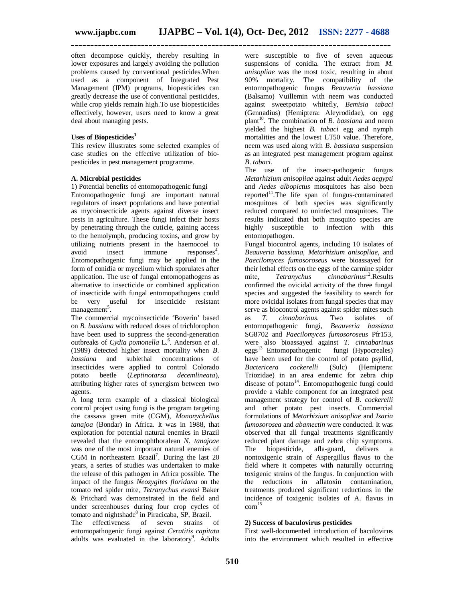often decompose quickly, thereby resulting in lower exposures and largely avoiding the pollution problems caused by conventional pesticides.When used as a component of Integrated Pest Management (IPM) programs, biopesticides can greatly decrease the use of conventional pesticides, while crop yields remain high.To use biopesticides effectively, however, users need to know a great deal about managing pests.

#### **Uses of Biopesticides<sup>3</sup>**

This review illustrates some selected examples of case studies on the effective utilization of biopesticides in pest management programme.

#### **A. Microbial pesticides**

1) Potential benefits of entomopathogenic fungi Entomopathogenic fungi are important natural regulators of insect populations and have potential as mycoinsecticide agents against diverse insect pests in agriculture. These fungi infect their hosts by penetrating through the cuticle, gaining access to the hemolymph, producing toxins, and grow by utilizing nutrients present in the haemocoel to avoid insect immune responses<sup>4</sup>. Entomopathogenic fungi may be applied in the form of conidia or mycelium which sporulates after application. The use of fungal entomopathogens as alternative to insecticide or combined application of insecticide with fungal entomopathogens could be very useful for insecticide resistant management<sup>5</sup>.

The commercial mycoinsecticide 'Boverin' based on *B. bassiana* with reduced doses of trichlorophon have been used to suppress the second-generation outbreaks of *Cydia pomonella* L.<sup>6</sup>. Anderson *et al.* (1989) detected higher insect mortality when *B.*  sublethal concentrations of insecticides were applied to control Colorado<br>potato beetle (Leptinotarsa decembineata), beetle (*Leptinotarsa decemlineata*), attributing higher rates of synergism between two agents.

A long term example of a classical biological control project using fungi is the program targeting the cassava green mite (CGM), *Mononychellus tanajoa* (Bondar) in Africa. It was in 1988, that exploration for potential natural enemies in Brazil revealed that the entomophthoralean *N. tanajoae*  was one of the most important natural enemies of CGM in northeastern  $\widehat{Brazil}^7$ . During the last 20 years, a series of studies was undertaken to make the release of this pathogen in Africa possible. The impact of the fungus *Neozygites floridana* on the tomato red spider mite*, Tetranychus evansi* Baker & Pritchard was demonstrated in the field and under screenhouses during four crop cycles of tomato and nightshade<sup>8</sup> in Piracicaba, SP, Brazil.

The effectiveness of seven strains of entomopathogenic fungi against *Ceratitis capitata*  adults was evaluated in the laboratory<sup>9</sup>. Adults were susceptible to five of seven aqueous suspensions of conidia. The extract from *M*. *anisopliae* was the most toxic, resulting in about 90% mortality. The compatibility of the entomopathogenic fungus *Beauveria bassiana*  (Balsamo) Vuillemin with neem was conducted against sweetpotato whitefly*, Bemisia tabaci*  (Gennadius) (Hemiptera: Aleyrodidae), on egg plant<sup>10</sup>. The combination of *B. bassiana* and neem yielded the highest *B. tabaci* egg and nymph mortalities and the lowest LT50 value. Therefore, neem was used along with *B. bassiana* suspension as an integrated pest management program against *B. tabaci.* 

The use of the insect-pathogenic fungus *Metarhizium anisopliae* against adult *Aedes aegypti*  and *Aedes albopictus* mosquitoes has also been reported<sup>11</sup>. The life span of fungus-contaminated mosquitoes of both species was significantly reduced compared to uninfected mosquitoes. The results indicated that both mosquito species are highly susceptible to infection with this entomopathogen.

Fungal biocontrol agents, including 10 isolates of *Beauveria bassiana*, *Metarhizium anisopliae*, and *Paecilomyces fumosoroseus* were bioassayed for their lethal effects on the eggs of the carmine spider<br>mite. Tetranychus cinnabarinus<sup>12</sup>.Results mite, *Tetranychus cinnabarinus*<sup>12</sup>.Results confirmed the ovicidal activity of the three fungal species and suggested the feasibility to search for more ovicidal isolates from fungal species that may serve as biocontrol agents against spider mites such as T. cinnabarinus. Two isolates of as *T. cinnabarinus*. Two isolates of entomopathogenic fungi, *Beauveria bassiana*  SG8702 and *Paecilomyces fumosoroseus* Pfr153, were also bioassayed against *T. cinnabarinus*   $eggs<sup>13</sup>$  Entomopathogenic fungi (Hypocreales) have been used for the control of potato psyllid,<br>Bactericera cockerelli (Sulc) (Hemiptera: *Bactericera cockerelli* (Sulc) (Hemiptera: Triozidae) in an area endemic for zebra chip disease of potato $14$ . Entomopathogenic fungi could provide a viable component for an integrated pest management strategy for control of *B. cockerelli*  and other potato pest insects. Commercial formulations of *Metarhizium anisopliae* and *Isaria fumosorosea* and *abamectin* were conducted. It was observed that all fungal treatments significantly reduced plant damage and zebra chip symptoms. The biopesticide, afla-guard, delivers a nontoxigenic strain of Aspergillus flavus to the field where it competes with naturally occurring toxigenic strains of the fungus. In conjunction with the reductions in aflatoxin contamination, treatments produced significant reductions in the incidence of toxigenic isolates of A. flavus in  $\text{corn}^{15}$ 

#### **2) Success of baculovirus pesticides**

First well-documented introduction of baculovirus into the environment which resulted in effective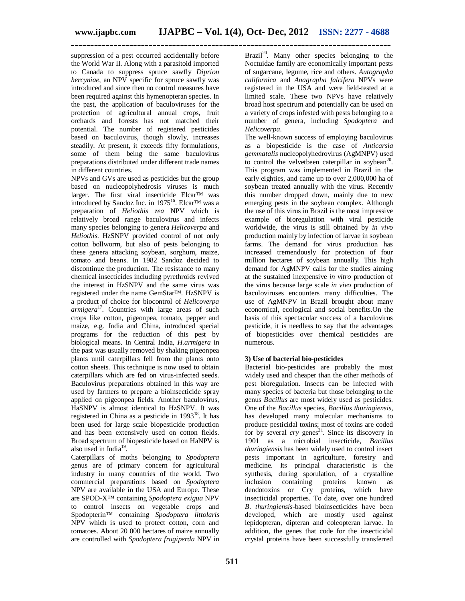**\_\_\_\_\_\_\_\_\_\_\_\_\_\_\_\_\_\_\_\_\_\_\_\_\_\_\_\_\_\_\_\_\_\_\_\_\_\_\_\_\_\_\_\_\_\_\_\_\_\_\_\_\_\_\_\_\_\_\_\_\_\_\_\_\_\_\_\_\_\_\_\_\_\_\_\_\_\_\_\_\_\_**

suppression of a pest occurred accidentally before the World War II. Along with a parasitoid imported to Canada to suppress spruce sawfly *Diprion hercyniae*, an NPV specific for spruce sawfly was introduced and since then no control measures have been required against this hymenopteran species. In the past, the application of baculoviruses for the protection of agricultural annual crops, fruit orchards and forests has not matched their potential. The number of registered pesticides based on baculovirus, though slowly, increases steadily. At present, it exceeds fifty formulations, some of them being the same baculovirus preparations distributed under different trade names in different countries.

NPVs and GVs are used as pesticides but the group based on nucleopolyhedrosis viruses is much larger. The first viral insecticide Elcar™ was introduced by Sandoz Inc. in 1975<sup>16</sup>. Elcar™ was a preparation of *Heliothis zea* NPV which is relatively broad range baculovirus and infects many species belonging to genera *Helicoverpa* and *Heliothis*. HzSNPV provided control of not only cotton bollworm, but also of pests belonging to these genera attacking soybean, sorghum, maize, tomato and beans. In 1982 Sandoz decided to discontinue the production. The resistance to many chemical insecticides including pyrethroids revived the interest in HzSNPV and the same virus was registered under the name GemStar™. HzSNPV is a product of choice for biocontrol of *Helicoverpa*  armigera<sup>17</sup>. Countries with large areas of such crops like cotton, pigeonpea, tomato, pepper and maize, e.g. India and China, introduced special programs for the reduction of this pest by biological means. In Central India, *H.armigera* in the past was usually removed by shaking pigeonpea plants until caterpillars fell from the plants onto cotton sheets. This technique is now used to obtain caterpillars which are fed on virus-infected seeds. Baculovirus preparations obtained in this way are used by farmers to prepare a bioinsecticide spray applied on pigeonpea fields. Another baculovirus, HaSNPV is almost identical to HzSNPV. It was registered in China as a pesticide in 1993<sup>18</sup>. It has been used for large scale biopesticide production and has been extensively used on cotton fields. Broad spectrum of biopesticide based on HaNPV is also used in India<sup>19</sup>.

Caterpillars of moths belonging to *Spodoptera*  genus are of primary concern for agricultural industry in many countries of the world. Two commercial preparations based on *Spodoptera*  NPV are available in the USA and Europe. These are SPOD-X™ containing *Spodoptera exigua* NPV to control insects on vegetable crops and Spodopterin™ containing *Spodoptera littolaris*  NPV which is used to protect cotton, corn and tomatoes. About 20 000 hectares of maize annually are controlled with *Spodoptera frugiperda* NPV in Brazil<sup>20</sup>. Many other species belonging to the Noctuidae family are economically important pests of sugarcane, legume, rice and others. *Autographa californica* and *Anagrapha falcifera* NPVs were registered in the USA and were field-tested at a limited scale. These two NPVs have relatively broad host spectrum and potentially can be used on a variety of crops infested with pests belonging to a number of genera, including *Spodoptera* and *Helicoverpa*.

The well-known success of employing baculovirus as a biopesticide is the case of *Anticarsia gemmatalis* nucleopolyhedrovirus (AgMNPV) used to control the velvetbeen caterpillar in soybean<sup>20</sup>. This program was implemented in Brazil in the early eighties, and came up to over 2,000,000 ha of soybean treated annually with the virus. Recently this number dropped down, mainly due to new emerging pests in the soybean complex. Although the use of this virus in Brazil is the most impressive example of bioregulation with viral pesticide worldwide, the virus is still obtained by *in vivo*  production mainly by infection of larvae in soybean farms. The demand for virus production has increased tremendously for protection of four million hectares of soybean annually. This high demand for AgMNPV calls for the studies aiming at the sustained inexpensive *in vitro* production of the virus because large scale *in vivo* production of baculoviruses encounters many difficulties. The use of AgMNPV in Brazil brought about many economical, ecological and social benefits.On the basis of this spectacular success of a baculovirus pesticide, it is needless to say that the advantages of biopesticides over chemical pesticides are numerous.

#### **3) Use of bacterial bio-pesticides**

Bacterial bio-pesticides are probably the most widely used and cheaper than the other methods of pest bioregulation. Insects can be infected with many species of bacteria but those belonging to the genus *Bacillus* are most widely used as pesticides. One of the *Bacillus* species, *Bacillus thuringiensis,*  has developed many molecular mechanisms to produce pesticidal toxins; most of toxins are coded for by several  $\text{cry}$  genes<sup>21</sup>. Since its discovery in 1901 as a microbial insecticide, *Bacillus thuringiensis* has been widely used to control insect pests important in agriculture, forestry and medicine. Its principal characteristic is the synthesis, during sporulation, of a crystalline inclusion containing proteins known as dendotoxins or Cry proteins, which have insecticidal properties. To date, over one hundred *B. thuringiensis*-based bioinsecticides have been developed, which are mostly used against lepidopteran, dipteran and coleopteran larvae. In addition, the genes that code for the insecticidal crystal proteins have been successfully transferred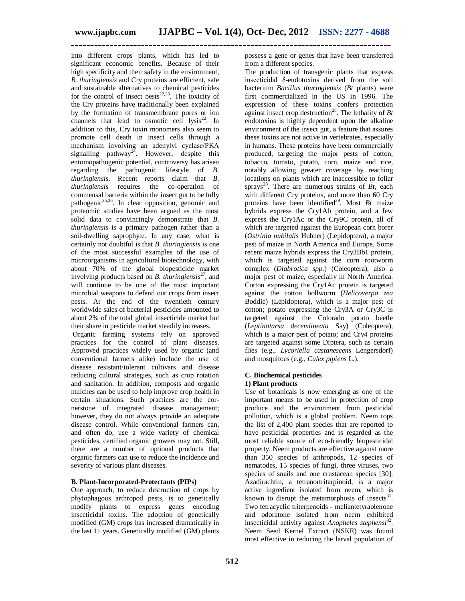**\_\_\_\_\_\_\_\_\_\_\_\_\_\_\_\_\_\_\_\_\_\_\_\_\_\_\_\_\_\_\_\_\_\_\_\_\_\_\_\_\_\_\_\_\_\_\_\_\_\_\_\_\_\_\_\_\_\_\_\_\_\_\_\_\_\_\_\_\_\_\_\_\_\_\_\_\_\_\_\_\_\_**

into different crops plants, which has led to significant economic benefits. Because of their high specificity and their safety in the environment, *B. thuringiensis* and Cry proteins are efficient, safe and sustainable alternatives to chemical pesticides for the control of insect pests $22,23$ . The toxicity of the Cry proteins have traditionally been explained by the formation of transmembrane pores or ion channels that lead to osmotic cell  $lysis^{22}$ . In addition to this, Cry toxin monomers also seem to promote cell death in insect cells through a mechanism involving an adenylyl cyclase/PKA signalling pathway<sup>24</sup>. However, despite this entomopathogenic potential, controversy has arisen regarding the pathogenic lifestyle of *B. thuringiensis*. Recent reports claim that *B. thuringiensis* requires the co-operation of commensal bacteria within the insect gut to be fully pathogenic<sup>25,26</sup>. In clear opposition, genomic and proteomic studies have been argued as the most solid data to convincingly demonstrate that *B. thuringiensis* is a primary pathogen rather than a soil-dwelling saprophyte. In any case, what is certainly not doubtful is that *B. thuringiensis* is one of the most successful examples of the use of microorganisms in agricultural biotechnology, with about 70% of the global biopesticide market involving products based on *B. thuringiensis*<sup>27</sup>, and will continue to be one of the most important microbial weapons to defend our crops from insect pests. At the end of the twentieth century worldwide sales of bacterial pesticides amounted to about 2% of the total global insecticide market but their share in pesticide market steadily increases.

Organic farming systems rely on approved practices for the control of plant diseases. Approved practices widely used by organic (and conventional farmers alike) include the use of disease resistant/tolerant cultivars and disease reducing cultural strategies, such as crop rotation and sanitation. In addition, composts and organic mulches can be used to help improve crop health in certain situations. Such practices are the cornerstone of integrated disease management; however, they do not always provide an adequate disease control. While conventional farmers can, and often do, use a wide variety of chemical pesticides, certified organic growers may not. Still, there are a number of optional products that organic farmers can use to reduce the incidence and severity of various plant diseases.

#### **B. Plant-Incorporated-Protectants (PIPs)**

One approach, to reduce destruction of crops by phytophagous arthropod pests, is to genetically modify plants to express genes encoding insecticidal toxins. The adoption of genetically modified (GM) crops has increased dramatically in the last 11 years. Genetically modified (GM) plants

possess a gene or genes that have been transferred from a different species.

The production of transgenic plants that express insecticidal δ-endotoxins derived from the soil bacterium *Bacillus thuringiensis* (*Bt* plants) were first commercialized in the US in 1996. The expression of these toxins confers protection against insect crop destruction<sup>28</sup>. The lethality of *Bt* endotoxins is highly dependent upon the alkaline environment of the insect gut, a feature that assures these toxins are not active in vertebrates, especially in humans. These proteins have been commercially produced, targeting the major pests of cotton, tobacco, tomato, potato, corn, maize and rice, notably allowing greater coverage by reaching locations on plants which are inaccessible to foliar sprays<sup>28</sup>. There are numerous strains of  $Bt$ , each with different Cry proteins, and more than 60 Cry proteins have been identified<sup>29</sup>. Most  $Bt$  maize hybrids express the Cry1Ab protein, and a few express the Cry1Ac or the Cry9C protein, all of which are targeted against the European corn borer (*Ostrinia nubilalis* Hubner) (Lepidoptera), a major pest of maize in North America and Europe. Some recent maize hybrids express the Cry3Bb1 protein, which is targeted against the corn rootworm complex (*Diabrotica spp.*) (Coleoptera), also a major pest of maize, especially in North America. Cotton expressing the Cry1Ac protein is targeted against the cotton bollworm (*Helicoverpa zea*  Boddie) (Lepidoptera), which is a major pest of cotton; potato expressing the Cry3A or Cry3C is targeted against the Colorado potato beetle (*Leptinotarsa decemlineata* Say) (Coleoptera), which is a major pest of potato; and Cry4 proteins are targeted against some Diptera, such as certain flies (e.g., *Lycoriella castanescens* Lengersdorf) and mosquitoes (e.g., *Culex pipiens* L.).

## **C. Biochemical pesticides**

### **1) Plant products**

Use of botanicals is now emerging as one of the important means to be used in protection of crop produce and the environment from pesticidal pollution, which is a global problem. Neem tops the list of 2,400 plant species that are reported to have pesticidal properties and is regarded as the most reliable source of eco-friendly biopesticidal property. Neem products are effective against more than 350 species of arthropods, 12 species of nematodes, 15 species of fungi, three viruses, two species of snails and one crustacean species [30]. Azadirachtin, a tetranortritarpinoid, is a major active ingredient isolated from neem, which is known to disrupt the metamorphosis of insects $^{31}$ . Two tetracyclic triterpenoids - meliantetyraolenone and odoratone isolated from neem exhibited insecticidal activity against *Anopheles stephensi*<sup>32</sup>. Neem Seed Kernel Extract (NSKE) was found most effective in reducing the larval population of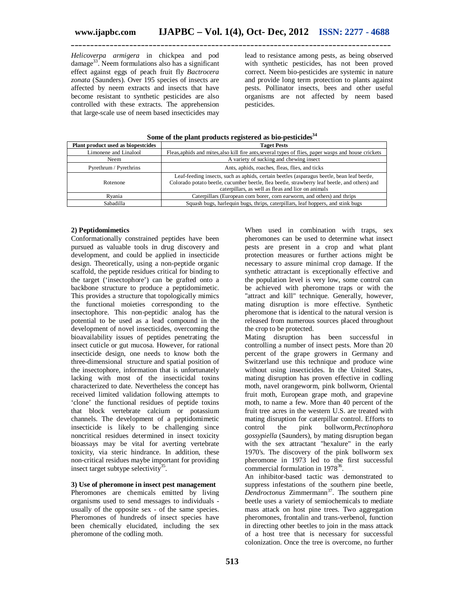*Helicoverpa armigera* in chickpea and pod  $\theta$ damage<sup>33</sup>. Neem formulations also has a significant effect against eggs of peach fruit fly *Bactrocera zonata* (Saunders). Over 195 species of insects are affected by neem extracts and insects that have become resistant to synthetic pesticides are also controlled with these extracts. The apprehension that large-scale use of neem based insecticides may

lead to resistance among pests, as being observed with synthetic pesticides, has not been proved correct. Neem bio-pesticides are systemic in nature and provide long term protection to plants against pests. Pollinator insects, bees and other useful organisms are not affected by neem based pesticides.

| Some of the plant products registered as bio-pesticides <sup>34</sup> |  |
|-----------------------------------------------------------------------|--|
|-----------------------------------------------------------------------|--|

| Plant product used as biopestcides | <b>Taget Pests</b>                                                                                                                                                                                                                                |
|------------------------------------|---------------------------------------------------------------------------------------------------------------------------------------------------------------------------------------------------------------------------------------------------|
| Limonene and Linalool              | Fleas, aphids and mites, also kill fire ants, several types of flies, paper wasps and house crickets                                                                                                                                              |
| Neem                               | A variety of sucking and chewing insect                                                                                                                                                                                                           |
| Pyrethrum / Pyrethrins             | Ants, aphids, roaches, fleas, flies, and ticks                                                                                                                                                                                                    |
| Rotenone                           | Leaf-feeding insects, such as aphids, certain beetles (asparagus beetle, bean leaf beetle,<br>Colorado potato beetle, cucumber beetle, flea beetle, strawberry leaf beetle, and others) and<br>caterpillars, as well as fleas and lice on animals |
| Rvania                             | Caterpillars (European corn borer, corn earworm, and others) and thrips                                                                                                                                                                           |
| Sabadilla                          | Squash bugs, harlequin bugs, thrips, caterpillars, leaf hoppers, and stink bugs                                                                                                                                                                   |

#### **2) Peptidomimetics**

Conformationally constrained peptides have been pursued as valuable tools in drug discovery and development, and could be applied in insecticide design. Theoretically, using a non-peptide organic scaffold, the peptide residues critical for binding to the target ('insectophore') can be grafted onto a backbone structure to produce a peptidomimetic. This provides a structure that topologically mimics the functional moieties corresponding to the insectophore. This non-peptidic analog has the potential to be used as a lead compound in the development of novel insecticides, overcoming the bioavailability issues of peptides penetrating the insect cuticle or gut mucosa. However, for rational insecticide design, one needs to know both the three-dimensional structure and spatial position of the insectophore, information that is unfortunately lacking with most of the insecticidal toxins characterized to date. Nevertheless the concept has received limited validation following attempts to 'clone' the functional residues of peptide toxins that block vertebrate calcium or potassium channels. The development of a peptidomimetic insecticide is likely to be challenging since noncritical residues determined in insect toxicity bioassays may be vital for averting vertebrate toxicity, via steric hindrance. In addition, these non-critical residues maybe important for providing insect target subtype selectivity<sup>35</sup>.

#### **3) Use of pheromone in insect pest management**

Pheromones are chemicals emitted by living organisms used to send messages to individuals usually of the opposite sex - of the same species. Pheromones of hundreds of insect species have been chemically elucidated, including the sex pheromone of the codling moth.

When used in combination with traps, sex pheromones can be used to determine what insect pests are present in a crop and what plant protection measures or further actions might be necessary to assure minimal crop damage. If the synthetic attractant is exceptionally effective and the population level is very low, some control can be achieved with pheromone traps or with the "attract and kill" technique. Generally, however, mating disruption is more effective. Synthetic pheromone that is identical to the natural version is released from numerous sources placed throughout the crop to be protected.

Mating disruption has been successful in controlling a number of insect pests. More than 20 percent of the grape growers in Germany and Switzerland use this technique and produce wine without using insecticides. In the United States, mating disruption has proven effective in codling moth, navel orangeworm, pink bollworm, Oriental fruit moth, European grape moth, and grapevine moth, to name a few. More than 40 percent of the fruit tree acres in the western U.S. are treated with mating disruption for caterpillar control. Efforts to control the pink bollworm,*Pectinophora gossypiella* (Saunders), by mating disruption began with the sex attractant "hexalure" in the early 1970's. The discovery of the pink bollworm sex pheromone in 1973 led to the first successful commercial formulation in 1978<sup>36</sup>.

An inhibitor-based tactic was demonstrated to suppress infestations of the southern pine beetle, *Dendroctonus* Zimmermann<sup>37</sup>. The southern pine beetle uses a variety of semiochemicals to mediate mass attack on host pine trees. Two aggregation pheromones, frontalin and trans-verbenol, function in directing other beetles to join in the mass attack of a host tree that is necessary for successful colonization. Once the tree is overcome, no further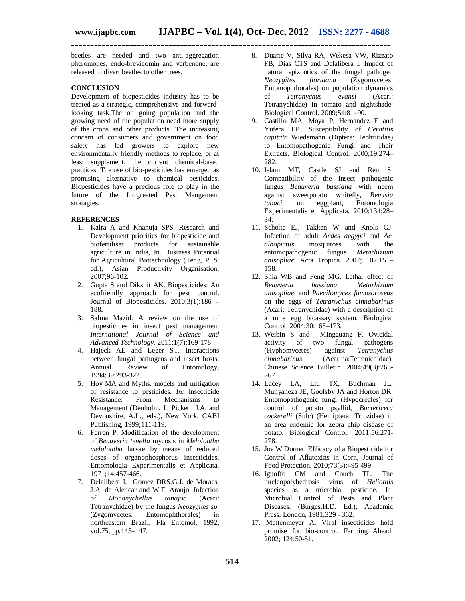beetles are needed and two anti-aggregation pheromones, endo-brevicomin and verbenone, are released to divert beetles to other trees.

#### **CONCLUSION**

Development of biopesticides industry has to be treated as a strategic, comprehensive and forwardlooking task.The on going population and the growing need of the population need more supply of the crops and other products. The increasing concern of consumers and government on food safety has led growers to explore new environmentally friendly methods to replace, or at least supplement, the current chemical-based practices. The use of bio-pesticides has emerged as promising alternative to chemical pesticides. Biopesticides have a precious role to play in the future of the Intrgreated Pest Mangement stratagies.

#### **REFERENCES**

- 1. Kalra A and Khanuja SPS. Research and Development priorities for biopesticide and biofertiliser products for sustainable agriculture in India, In. Business Potential for Agricultural Biotechnology (Teng, P. S. ed.), Asian Productivity Organisation. 2007;96-102.
- 2. Gupta S and Dikshit AK. Biopesticides: An ecofriendly approach for pest control. Journal of Biopesticides.  $2010;3(1):186$  – 188**.**
- 3. Salma Mazid. A review on the use of biopesticides in insect pest management *International Journal of Science and Advanced Technology.* 2011;1(7):169-178.
- 4. Hajeck AE and Leger ST. Interactions between fungal pathogens and insect hosts,<br>Annual Review of Entomology, Annual Review of Entomology, 1994;39:293-322.
- 5. Hoy MA and Myths. models and mitigation of resistance to pesticides. *In:* Insecticide Resistance: From Mechanisms to Management (Denholm, I., Pickett, J.A. and Devonshire, A.L., eds.), New York, CABI Publishing, 1999;111-119.
- 6. Ferron P. Modification of the development of *Beauveria tenella* mycosis in *Melolontha melolontha* larvae by means of reduced doses of organophosphorus insecticides, Entomologia Experimentalis et Applicata. 1971;14:457-466.
- 7. Delalibera I, Gomez DRS,G.J. de Moraes, J.A. de Alencar and W.F. Araujo, Infection of *Mononychellus tanajoa* (Acari: Tetranychidae) by the fungus *Neozygites sp.*  Entomophthorales) in northeastern Brazil, Fla Entomol, 1992, vol.75, pp.145–147.
- 8. Duarte V, Silva RA, Wekesa VW, Rizzato FB, Dias CTS and Delalibera I. Impact of natural epizootics of the fungal pathogen *Neozygites floridana* (Zygomycetes: Entomophthorales) on population dynamics<br>of Tetranychus evansi (Acari:  $Tetranvchus$ Tetranychidae) in tomato and nightshade. Biological Control. 2009;51:81–90.
- 9. Castillo MA, Moya P, Hernandez E and Yufera EP. Susceptibility of *Ceratitis capitata* Wiedemann (Diptera: Tephritidae) to Entomopathogenic Fungi and Their Extracts. Biological Control. 2000;19:274– 282.
- 10. Islam MT, Castle SJ and Ren S. Compatibility of the insect pathogenic fungus *Beauveria bassiana* with neem against sweetpotato whitefly*, Bemisia tabaci*, on eggplant, Entomologia Experimentalis et Applicata. 2010;134:28– 34.
- 11. Scholte EJ, Takken W and Knols GJ. Infection of adult *Aedes aegypti* and *Ae. albopictus* mosquitoes with the entomopathogenic fungus *Metarhizium anisopliae.* Acta Tropica. 2007; 102:151– 158.
- 12. Shia WB and Feng MG. Lethal effect of<br>Beauveria bassiana, Metarhizium *Beauveria bassiana*, *Metarhizium anisopliae*, and *Paecilomyces fumosoroseus*  on the eggs of *Tetranychus cinnabarinus*  (Acari: Tetranychidae) with a description of a mite egg bioassay system. Biological Control. 2004;30:165–173.
- 13. Weibin S and Mingguang F. Ovicidal activity of two fungal pathogens<br>(Hyphomycetes) against Tetranychus (Hyphomycetes) against *cinnabarinus* (Acarina *cinnabarinus* (Acarina:Tetranichidae), Chinese Science Bulletin. 2004;49(3):263- 267.
- 14. Lacey LA, Liu TX, Buchman JL, Munyaneza JE, Goolsby JA and Horton DR. Entomopathogenic fungi (Hypocreales) for control of potato psyllid, *Bactericera cockerelli* (Sulc) (Hemiptera: Triozidae) in an area endemic for zebra chip disease of potato. Biological Control. 2011;56:271- 278.
- 15. Joe W Dorner. Efficacy of a Biopesticide for Control of Aflatoxins in Corn, Journal of Food Protection. 2010;73(3):495-499.
- 16. Ignoffo CM and Couch TL. The nucleopolyhedrosis virus of *Heliothis*  species as a microbial pesticide. In: Microbial Control of Pests and Plant Diseases. (Burges,H.D. Ed.), Academic Press. London, 1981;329 - 362.
- 17. Mettenmeyer A. Viral insecticides hold promise for bio-control, Farming Ahead. 2002; 124:50-51.